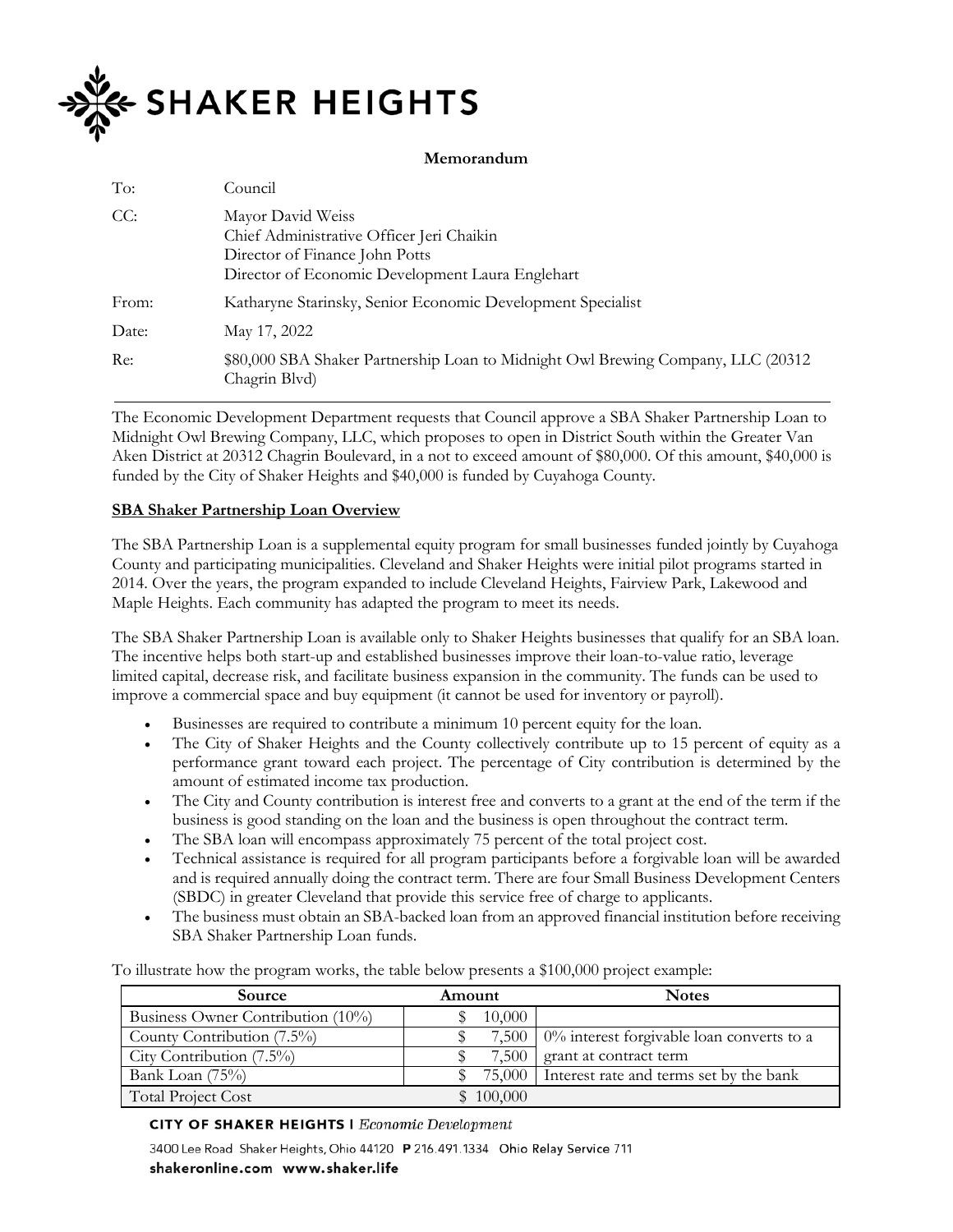

## **Memorandum**

| To:   | Council                                                                                                                                              |
|-------|------------------------------------------------------------------------------------------------------------------------------------------------------|
| CC:   | Mayor David Weiss<br>Chief Administrative Officer Jeri Chaikin<br>Director of Finance John Potts<br>Director of Economic Development Laura Englehart |
| From: | Katharyne Starinsky, Senior Economic Development Specialist                                                                                          |
| Date: | May 17, 2022                                                                                                                                         |
| Re:   | \$80,000 SBA Shaker Partnership Loan to Midnight Owl Brewing Company, LLC (20312<br>Chagrin Blvd)                                                    |

The Economic Development Department requests that Council approve a SBA Shaker Partnership Loan to Midnight Owl Brewing Company, LLC, which proposes to open in District South within the Greater Van Aken District at 20312 Chagrin Boulevard, in a not to exceed amount of \$80,000. Of this amount, \$40,000 is funded by the City of Shaker Heights and \$40,000 is funded by Cuyahoga County.

## **SBA Shaker Partnership Loan Overview**

The SBA Partnership Loan is a supplemental equity program for small businesses funded jointly by Cuyahoga County and participating municipalities. Cleveland and Shaker Heights were initial pilot programs started in 2014. Over the years, the program expanded to include Cleveland Heights, Fairview Park, Lakewood and Maple Heights. Each community has adapted the program to meet its needs.

The SBA Shaker Partnership Loan is available only to Shaker Heights businesses that qualify for an SBA loan. The incentive helps both start-up and established businesses improve their loan-to-value ratio, leverage limited capital, decrease risk, and facilitate business expansion in the community. The funds can be used to improve a commercial space and buy equipment (it cannot be used for inventory or payroll).

- Businesses are required to contribute a minimum 10 percent equity for the loan.
- The City of Shaker Heights and the County collectively contribute up to 15 percent of equity as a performance grant toward each project. The percentage of City contribution is determined by the amount of estimated income tax production.
- The City and County contribution is interest free and converts to a grant at the end of the term if the business is good standing on the loan and the business is open throughout the contract term.
- The SBA loan will encompass approximately 75 percent of the total project cost.
- Technical assistance is required for all program participants before a forgivable loan will be awarded and is required annually doing the contract term. There are four Small Business Development Centers (SBDC) in greater Cleveland that provide this service free of charge to applicants.
- The business must obtain an SBA-backed loan from an approved financial institution before receiving SBA Shaker Partnership Loan funds.

To illustrate how the program works, the table below presents a \$100,000 project example:

| <b>Source</b>                     | Amount  | <b>Notes</b>                                         |  |  |
|-----------------------------------|---------|------------------------------------------------------|--|--|
| Business Owner Contribution (10%) | 10,000  |                                                      |  |  |
| County Contribution (7.5%)        |         | 7,500   $0\%$ interest forgivable loan converts to a |  |  |
| City Contribution $(7.5\%)$       | 7.500   | grant at contract term                               |  |  |
| Bank Loan (75%)                   | 75,000  | Interest rate and terms set by the bank              |  |  |
| <b>Total Project Cost</b>         | 100,000 |                                                      |  |  |

## **CITY OF SHAKER HEIGHTS I Economic Development**

3400 Lee Road Shaker Heights, Ohio 44120 P 216.491.1334 Ohio Relay Service 711

shakeronline.com www.shaker.life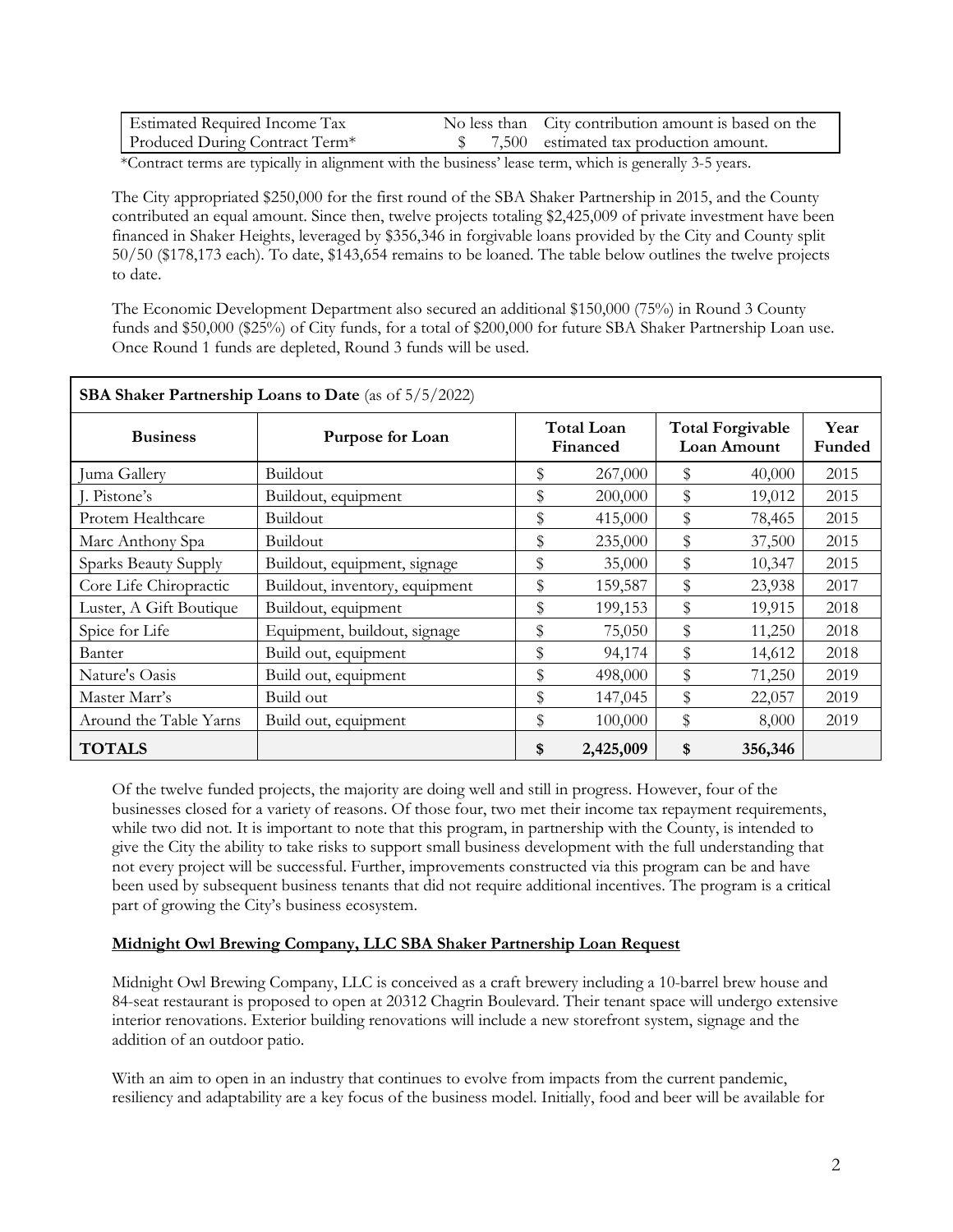| <b>Estimated Required Income Tax</b> | No less than City contribution amount is based on the |
|--------------------------------------|-------------------------------------------------------|
| Produced During Contract Term*       | 7,500 estimated tax production amount.                |

\*Contract terms are typically in alignment with the business' lease term, which is generally 3-5 years.

The City appropriated \$250,000 for the first round of the SBA Shaker Partnership in 2015, and the County contributed an equal amount. Since then, twelve projects totaling \$2,425,009 of private investment have been financed in Shaker Heights, leveraged by \$356,346 in forgivable loans provided by the City and County split 50/50 (\$178,173 each). To date, \$143,654 remains to be loaned. The table below outlines the twelve projects to date.

The Economic Development Department also secured an additional \$150,000 (75%) in Round 3 County funds and \$50,000 (\$25%) of City funds, for a total of \$200,000 for future SBA Shaker Partnership Loan use. Once Round 1 funds are depleted, Round 3 funds will be used.

| <b>SBA Shaker Partnership Loans to Date</b> (as of 5/5/2022) |                                |                        |           |                                               |         |                |
|--------------------------------------------------------------|--------------------------------|------------------------|-----------|-----------------------------------------------|---------|----------------|
| <b>Business</b>                                              | Purpose for Loan               | Total Loan<br>Financed |           | <b>Total Forgivable</b><br><b>Loan Amount</b> |         | Year<br>Funded |
| Juma Gallery                                                 | Buildout                       | \$                     | 267,000   | \$                                            | 40,000  | 2015           |
| I. Pistone's                                                 | Buildout, equipment            | \$                     | 200,000   | \$                                            | 19,012  | 2015           |
| Protem Healthcare                                            | Buildout                       | \$                     | 415,000   | \$                                            | 78,465  | 2015           |
| Marc Anthony Spa                                             | Buildout                       | \$                     | 235,000   | \$                                            | 37,500  | 2015           |
| Sparks Beauty Supply                                         | Buildout, equipment, signage   | \$                     | 35,000    | \$                                            | 10,347  | 2015           |
| Core Life Chiropractic                                       | Buildout, inventory, equipment | \$                     | 159,587   | \$                                            | 23,938  | 2017           |
| Luster, A Gift Boutique                                      | Buildout, equipment            | \$                     | 199,153   | \$                                            | 19,915  | 2018           |
| Spice for Life                                               | Equipment, buildout, signage   | \$                     | 75,050    | ${\mathbb S}$                                 | 11,250  | 2018           |
| Banter                                                       | Build out, equipment           | \$                     | 94,174    | ${\mathbb S}$                                 | 14,612  | 2018           |
| Nature's Oasis                                               | Build out, equipment           | \$                     | 498,000   | \$                                            | 71,250  | 2019           |
| Master Marr's                                                | Build out                      | \$                     | 147,045   | ${\mathbb S}$                                 | 22,057  | 2019           |
| Around the Table Yarns                                       | Build out, equipment           | \$                     | 100,000   | \$                                            | 8,000   | 2019           |
| <b>TOTALS</b>                                                |                                | \$                     | 2,425,009 | \$                                            | 356,346 |                |

Of the twelve funded projects, the majority are doing well and still in progress. However, four of the businesses closed for a variety of reasons. Of those four, two met their income tax repayment requirements, while two did not. It is important to note that this program, in partnership with the County, is intended to give the City the ability to take risks to support small business development with the full understanding that not every project will be successful. Further, improvements constructed via this program can be and have been used by subsequent business tenants that did not require additional incentives. The program is a critical part of growing the City's business ecosystem.

## **Midnight Owl Brewing Company, LLC SBA Shaker Partnership Loan Request**

Midnight Owl Brewing Company, LLC is conceived as a craft brewery including a 10-barrel brew house and 84-seat restaurant is proposed to open at 20312 Chagrin Boulevard. Their tenant space will undergo extensive interior renovations. Exterior building renovations will include a new storefront system, signage and the addition of an outdoor patio.

With an aim to open in an industry that continues to evolve from impacts from the current pandemic, resiliency and adaptability are a key focus of the business model. Initially, food and beer will be available for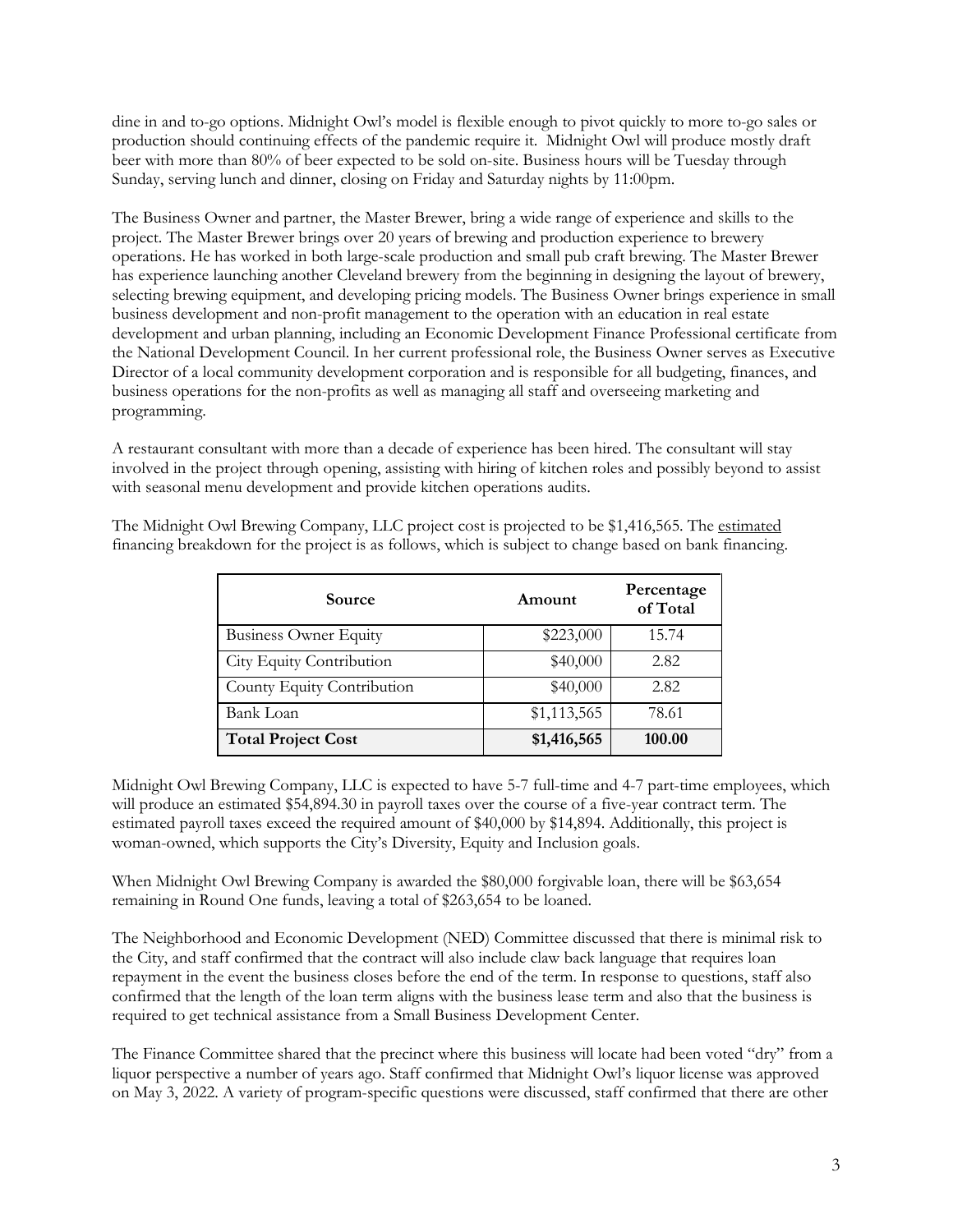dine in and to-go options. Midnight Owl's model is flexible enough to pivot quickly to more to-go sales or production should continuing effects of the pandemic require it. Midnight Owl will produce mostly draft beer with more than 80% of beer expected to be sold on-site. Business hours will be Tuesday through Sunday, serving lunch and dinner, closing on Friday and Saturday nights by 11:00pm.

The Business Owner and partner, the Master Brewer, bring a wide range of experience and skills to the project. The Master Brewer brings over 20 years of brewing and production experience to brewery operations. He has worked in both large-scale production and small pub craft brewing. The Master Brewer has experience launching another Cleveland brewery from the beginning in designing the layout of brewery, selecting brewing equipment, and developing pricing models. The Business Owner brings experience in small business development and non-profit management to the operation with an education in real estate development and urban planning, including an Economic Development Finance Professional certificate from the National Development Council. In her current professional role, the Business Owner serves as Executive Director of a local community development corporation and is responsible for all budgeting, finances, and business operations for the non-profits as well as managing all staff and overseeing marketing and programming.

A restaurant consultant with more than a decade of experience has been hired. The consultant will stay involved in the project through opening, assisting with hiring of kitchen roles and possibly beyond to assist with seasonal menu development and provide kitchen operations audits.

| Source                       | Amount      | Percentage<br>of Total |
|------------------------------|-------------|------------------------|
| <b>Business Owner Equity</b> | \$223,000   | 15.74                  |
| City Equity Contribution     | \$40,000    | 2.82                   |
| County Equity Contribution   | \$40,000    | 2.82                   |
| Bank Loan                    | \$1,113,565 | 78.61                  |
| <b>Total Project Cost</b>    | \$1,416,565 | 100.00                 |

The Midnight Owl Brewing Company, LLC project cost is projected to be \$1,416,565. The estimated financing breakdown for the project is as follows, which is subject to change based on bank financing.

Midnight Owl Brewing Company, LLC is expected to have 5-7 full-time and 4-7 part-time employees, which will produce an estimated \$54,894.30 in payroll taxes over the course of a five-year contract term. The estimated payroll taxes exceed the required amount of \$40,000 by \$14,894. Additionally, this project is woman-owned, which supports the City's Diversity, Equity and Inclusion goals.

When Midnight Owl Brewing Company is awarded the \$80,000 forgivable loan, there will be \$63,654 remaining in Round One funds, leaving a total of \$263,654 to be loaned.

The Neighborhood and Economic Development (NED) Committee discussed that there is minimal risk to the City, and staff confirmed that the contract will also include claw back language that requires loan repayment in the event the business closes before the end of the term. In response to questions, staff also confirmed that the length of the loan term aligns with the business lease term and also that the business is required to get technical assistance from a Small Business Development Center.

The Finance Committee shared that the precinct where this business will locate had been voted "dry" from a liquor perspective a number of years ago. Staff confirmed that Midnight Owl's liquor license was approved on May 3, 2022. A variety of program-specific questions were discussed, staff confirmed that there are other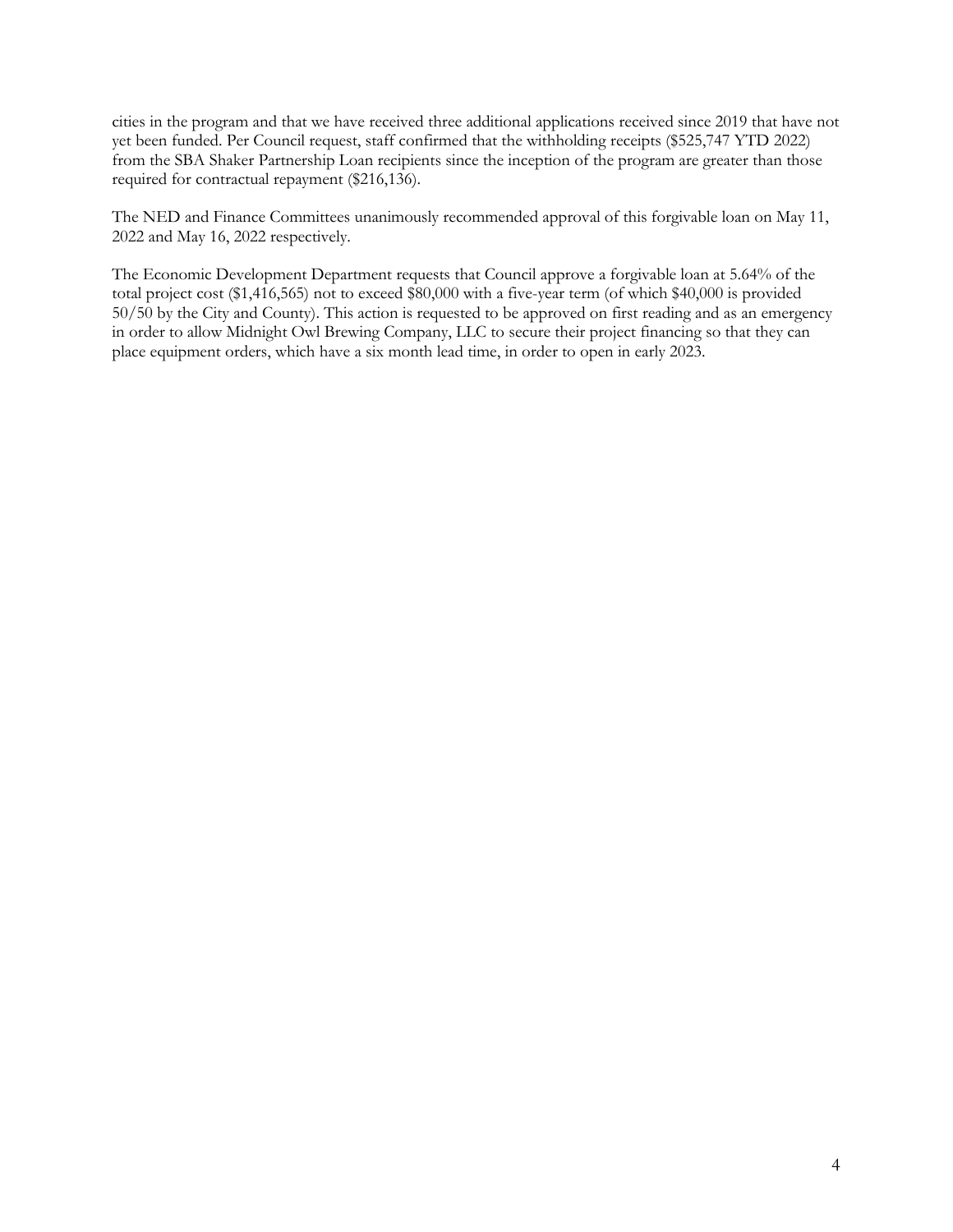cities in the program and that we have received three additional applications received since 2019 that have not yet been funded. Per Council request, staff confirmed that the withholding receipts (\$525,747 YTD 2022) from the SBA Shaker Partnership Loan recipients since the inception of the program are greater than those required for contractual repayment (\$216,136).

The NED and Finance Committees unanimously recommended approval of this forgivable loan on May 11, 2022 and May 16, 2022 respectively.

The Economic Development Department requests that Council approve a forgivable loan at 5.64% of the total project cost (\$1,416,565) not to exceed \$80,000 with a five-year term (of which \$40,000 is provided 50/50 by the City and County). This action is requested to be approved on first reading and as an emergency in order to allow Midnight Owl Brewing Company, LLC to secure their project financing so that they can place equipment orders, which have a six month lead time, in order to open in early 2023.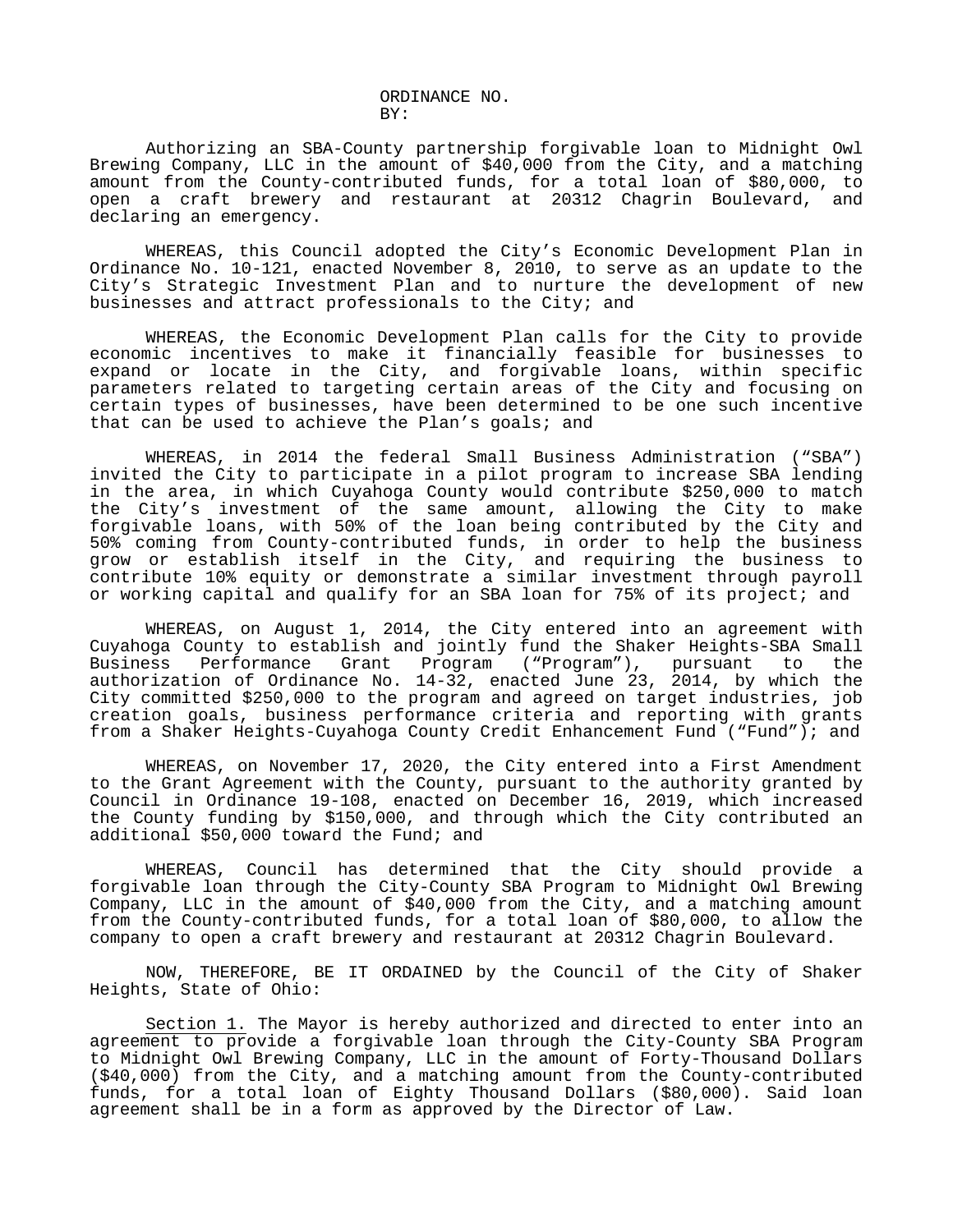ORDINANCE NO. BY:

Authorizing an SBA-County partnership forgivable loan to Midnight Owl Brewing Company, LLC in the amount of \$40,000 from the City, and a matching amount from the County-contributed funds, for a total loan of \$80,000, to open a craft brewery and restaurant at 20312 Chagrin Boulevard, and declaring an emergency.

WHEREAS, this Council adopted the City's Economic Development Plan in Ordinance No. 10-121, enacted November 8, 2010, to serve as an update to the City's Strategic Investment Plan and to nurture the development of new businesses and attract professionals to the City; and

WHEREAS, the Economic Development Plan calls for the City to provide economic incentives to make it financially feasible for businesses to expand or locate in the City, and forgivable loans, within specific parameters related to targeting certain areas of the City and focusing on certain types of businesses, have been determined to be one such incentive that can be used to achieve the Plan's goals; and

WHEREAS, in 2014 the federal Small Business Administration ("SBA") invited the City to participate in a pilot program to increase SBA lending in the area, in which Cuyahoga County would contribute \$250,000 to match the City's investment of the same amount, allowing the City to make forgivable loans, with 50% of the loan being contributed by the City and 50% coming from County-contributed funds, in order to help the business grow or establish itself in the City, and requiring the business to contribute 10% equity or demonstrate a similar investment through payroll or working capital and qualify for an SBA loan for 75% of its project; and

WHEREAS, on August 1, 2014, the City entered into an agreement with Cuyahoga County to establish and jointly fund the Shaker Heights-SBA Small Business Performance Grant Program ("Program"), pursuant to the authorization of Ordinance No. 14-32, enacted June 23, 2014, by which the City committed \$250,000 to the program and agreed on target industries, job creation goals, business performance criteria and reporting with grants from a Shaker Heights-Cuyahoga County Credit Enhancement Fund ("Fund"); and

WHEREAS, on November 17, 2020, the City entered into a First Amendment to the Grant Agreement with the County, pursuant to the authority granted by Council in Ordinance 19-108, enacted on December 16, 2019, which increased the County funding by \$150,000, and through which the City contributed an additional \$50,000 toward the Fund; and

WHEREAS, Council has determined that the City should provide a forgivable loan through the City-County SBA Program to Midnight Owl Brewing Company, LLC in the amount of \$40,000 from the City, and a matching amount from the County-contributed funds, for a total loan of \$80,000, to allow the company to open a craft brewery and restaurant at 20312 Chagrin Boulevard.

NOW, THEREFORE, BE IT ORDAINED by the Council of the City of Shaker Heights, State of Ohio:

Section 1. The Mayor is hereby authorized and directed to enter into an agreement to provide a forgivable loan through the City-County SBA Program to Midnight Owl Brewing Company, LLC in the amount of Forty-Thousand Dollars (\$40,000) from the City, and a matching amount from the County-contributed funds, for a total loan of Eighty Thousand Dollars (\$80,000). Said loan agreement shall be in a form as approved by the Director of Law.